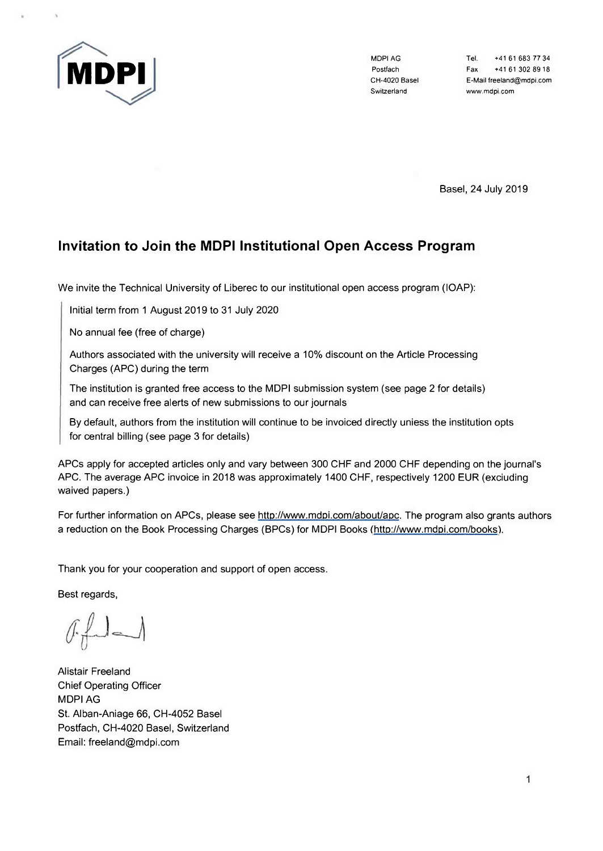

Switzerland [www.mdpi.com](http://www.mdpi.com)

MDPIAG Tel. +41 61 683 77 34 Postfach Fax +41 61 302 8918 CH-4020 Basel E-Mail freeland@mdpi.com

Basel, 24 July 2019

# **Invítation to Join the MDPI Instítutíonal Open Access Program**

We invite the Technical University of Liberec to our institutional open access program (lOAP):

Initial term from 1 August 2019 to 31 July 2020

No annual fee (free of charge)

Authors associated with the university will receive a 10% discount on the Article Processing Charges (APC) during the term

The institution is granted free access to the MDPI submission system (see page 2 for details) and can receive free alerts of new submissions to our journals

By default, authors from the institution will continue to be invoiced directly uniess the institution opts for central billing (see page 3 for details)

APCs apply for accepted articles only and vary between 300 CHF and 2000 CHF depending on the journal's APC. The average APC invoice in 2018 was approximately 1400 CHF, respectively 1200 EUR (exciuding waived papers.)

For further information on APCs, please see http://www.mdpi.com/about/apc. The program also grants authors a reduction on the Book Processing Charges (BPCs) for MDPI Books ([http://www.mdpi.com/books\)](http://www.mdpi.com/books).

Thank you for your cooperation and support of open access.

Best regards.

Alistair Freeland Chief Operating Officer MDPI AG St. Alban-Aniage 66, CH-4052 Basel Postfach, CH-4020 Basel, Switzerland Email: [freeland@mdpi.com](mailto:freeland@mdpi.com)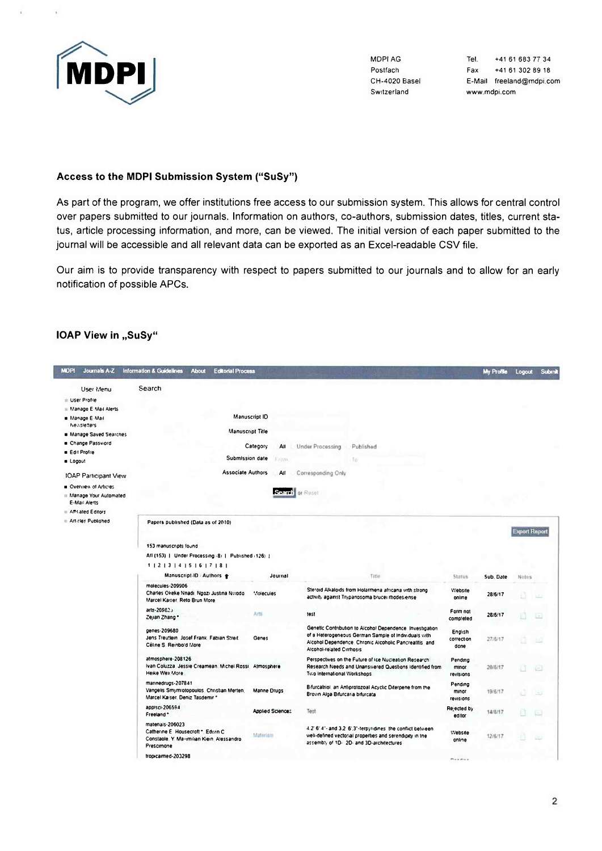

 $\mathbf{r}$ 

**MDPIAG** Postfach CH-4020 Basel Switzerland

Tel. +41 61 683 77 34 Fax +41 61 302 89 18 E-Mail freeland@mdpi.com www.mdpi.com

### Access to the MDPI Submission System ("SuSy")

As part of the program, we offer institutions free access to our submission system. This allows for central control over papers submitted to our journals. Information on authors, co-authors, submission dates, titles, current status, article processing information, and more, can be viewed. The initial version of each paper submitted to the journal will be accessible and all relevant data can be exported as an Excel-readable CSV file.

Our aim is to provide transparency with respect to papers submitted to our journals and to allow for an early notification of possible APCs.

#### IOAP View in "SuSy"

| <b>MDP1</b><br>Journals A-Z                                               | Information & Guidelines<br><b>Editorial Process</b><br><b>About</b>                                              |                  |                                  |                                                                                                                                                                             |                               | My Profile | Logout               | Submit |
|---------------------------------------------------------------------------|-------------------------------------------------------------------------------------------------------------------|------------------|----------------------------------|-----------------------------------------------------------------------------------------------------------------------------------------------------------------------------|-------------------------------|------------|----------------------|--------|
| User Menu<br>User Profile                                                 | Search                                                                                                            |                  |                                  |                                                                                                                                                                             |                               |            |                      |        |
| Manage E Mail Alerts<br>. Manage E-Mail                                   |                                                                                                                   | Manuscript ID    |                                  |                                                                                                                                                                             |                               |            |                      |        |
| Newsletters                                                               |                                                                                                                   | Manuscript Title |                                  |                                                                                                                                                                             |                               |            |                      |        |
| Manage Saved Searches<br>Change Password                                  |                                                                                                                   | Category<br>ΑII  | <b>Under Processing</b>          | Published                                                                                                                                                                   |                               |            |                      |        |
| <b>Edit Profile</b>                                                       | Submission date                                                                                                   | Frant            |                                  | To                                                                                                                                                                          |                               |            |                      |        |
| <b>a</b> Logout                                                           | <b>Associate Authors</b>                                                                                          |                  |                                  |                                                                                                                                                                             |                               |            |                      |        |
| <b>IOAP Participant View</b>                                              |                                                                                                                   | All              | Corresponding Only               |                                                                                                                                                                             |                               |            |                      |        |
| <b>a</b> Overview of Articles<br># Manage Your Automated<br>E-Mail Alerts |                                                                                                                   |                  | Search or Reset                  |                                                                                                                                                                             |                               |            |                      |        |
| Affiliated Editors                                                        |                                                                                                                   |                  |                                  |                                                                                                                                                                             |                               |            |                      |        |
| Articles Published                                                        | Papers published (Data as of 2010)                                                                                |                  |                                  |                                                                                                                                                                             |                               |            | <b>Export Report</b> |        |
|                                                                           | 153 manuscripts found                                                                                             |                  |                                  |                                                                                                                                                                             |                               |            |                      |        |
|                                                                           | Atl (153)   Under Processing -8)   Published (126)                                                                |                  |                                  |                                                                                                                                                                             |                               |            |                      |        |
|                                                                           | $1$   2   3   4   5   6   7   8  <br>Manuscript-ID Authors #                                                      | Journal          |                                  | Title                                                                                                                                                                       | Status                        | Sub. Date  | Notes                |        |
|                                                                           | molecules-209906<br>Charles Okeke Nnadi, Ngozi Justina Nivodo.<br>Marcel Kaiser, Reto Brun More                   | Molecules        |                                  | Steroid Alkaloids from Holarrhena africana with strong<br>activity against Trypanosoma brucei modes.ense                                                                    | Website<br>online             | 28/6/17    |                      |        |
|                                                                           | arts-209825<br>Zejian Zhang*                                                                                      | Arts             | test                             |                                                                                                                                                                             | Form not<br>completed         | 28/6/17    |                      |        |
|                                                                           | genes 209680<br>Jens Treutlein, Josef Frank, Fabian Streit<br>Céline S. Reinbold More                             | Genes            | <b>Alcohol-related Cirrhosis</b> | Genetic Contribution to Alcohol Dependence Investigation<br>of a Heterogeneous German Sample of Individuals with<br>Alcohol Dependence, Chronic Alcoholic Pancreatitis, and | English<br>correction<br>done | 27/6/17    |                      |        |
|                                                                           | atmosphere-208126<br>Ivan Coluzza, Jessie Creamean, Michel Rossi, Atmosphere<br>Heike Wex More                    |                  | Two International Workshops      | Perspectives on the Future of ice Nucleation Research.<br>Research Needs and Unanswered Questions Identified from                                                           | Pendina<br>minor<br>revisions | 20/6/17    | n                    | ) 조구   |
|                                                                           | mannedrugs-207841<br>Vangelis Smymiotopoulos Christian Merten,<br>Marcel Ka:ser, Deniz Tasdemir *                 | Manne Drugs      | Brown Alga Bifurcaria bifurcata  | Bifurcatriol, an Antiprotozoal Acyclic Diterpene from the                                                                                                                   | Pending<br>minor<br>revisions | 19/6/17    |                      |        |
|                                                                           | applsci-206594<br>Freeland *                                                                                      | Applied Science: | Test                             |                                                                                                                                                                             | Rejected by<br>editor         | 14/6/17    |                      |        |
|                                                                           | matenais-206023<br>Catherine E Housecroft *. Edvin C.<br>Constaole, Y. Marimilian Klein, Alessandro<br>Prescimone | Materials        |                                  | 4.2' 6' 4"- and 3.2' 6'.3"-terpyridines the conflict between<br>well-defined vectorial properties and serendipity in the<br>assembly of 1D- 2D- and 3D-architectures        | Website<br>online             | 12/6/17    |                      |        |
|                                                                           | tropicalmed-203298                                                                                                |                  |                                  |                                                                                                                                                                             | Printed and Contract          |            |                      |        |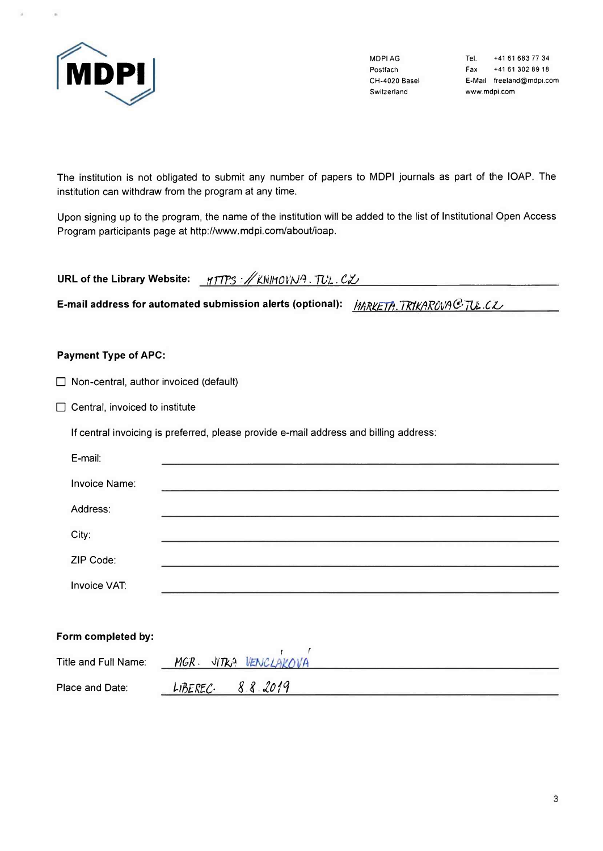

MDPI AG Postfach CH-4020 Basel Switzerland

+41 61 683 77 34 Tel. +41 61 302 89 18 Fax E-Mail freeland@mdpi.com www.mdpi.com

The institution is not obligated to submit any number of papers to MDPI journals as part of the IOAP. The institution can withdraw from the program at any time.

Upon signing up to the program, the name of the institution will be added to the list of Institutional Open Access Program participants page at http://www.mdpi.com/about/ioap.

URL of the Library Website: yTTPS : // KNIHOVNA. TUL. CZ

E-mail address for automated submission alerts (optional): *IARKETA.TR1KAR0VAC TU.CZ* 

## **Payment Type of APC:**

|  | $\Box$ Non-central, author invoiced (default) |  |  |  |
|--|-----------------------------------------------|--|--|--|
|--|-----------------------------------------------|--|--|--|

 $\Box$  Central, invoiced to institute

If central invoicing is preferred, please provide e-mail address and billing address:

| E-mail:              |  |  |
|----------------------|--|--|
| <b>Invoice Name:</b> |  |  |
| Address:             |  |  |
| City:                |  |  |
| ZIP Code:            |  |  |
| Invoice VAT:         |  |  |
|                      |  |  |
| Form completed by:   |  |  |

| Title and Full Name: | VENCLAKOVA<br><b>MGR</b><br>J(TK) |  |
|----------------------|-----------------------------------|--|
| Place and Date:      | 882019<br>LIBEREC                 |  |